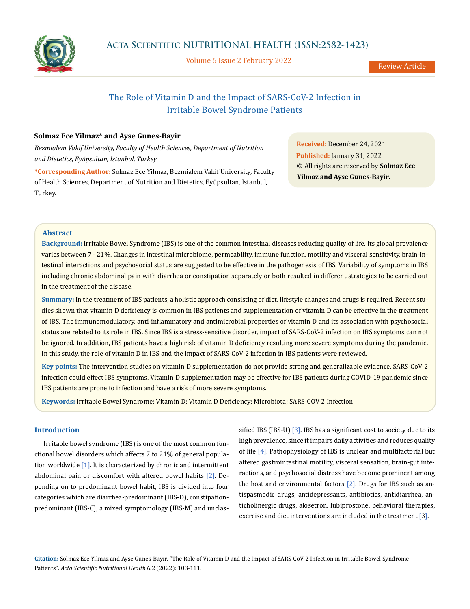

Volume 6 Issue 2 February 2022

Review Article

## The Role of Vitamin D and the Impact of SARS-CoV-2 Infection in Irritable Bowel Syndrome Patients

## **Solmaz Ece Yilmaz\* and Ayse Gunes-Bayir**

*Bezmialem Vakif University, Faculty of Health Sciences, Department of Nutrition and Dietetics, Eyüpsultan, Istanbul, Turkey*

**\*Corresponding Author:** Solmaz Ece Yilmaz, Bezmialem Vakif University, Faculty of Health Sciences, Department of Nutrition and Dietetics, Eyüpsultan, Istanbul, Turkey.

**Received:** December 24, 2021 **Published:** January 31, 2022 © All rights are reserved by **Solmaz Ece Yilmaz and Ayse Gunes-Bayir***.*

## **Abstract**

**Background:** Irritable Bowel Syndrome (IBS) is one of the common intestinal diseases reducing quality of life. Its global prevalence varies between 7 - 21%. Changes in intestinal microbiome, permeability, immune function, motility and visceral sensitivity, brain-intestinal interactions and psychosocial status are suggested to be effective in the pathogenesis of IBS. Variability of symptoms in IBS including chronic abdominal pain with diarrhea or constipation separately or both resulted in different strategies to be carried out in the treatment of the disease.

**Summary:** In the treatment of IBS patients, a holistic approach consisting of diet, lifestyle changes and drugs is required. Recent studies shown that vitamin D deficiency is common in IBS patients and supplementation of vitamin D can be effective in the treatment of IBS. The immunomodulatory, anti-inflammatory and antimicrobial properties of vitamin D and its association with psychosocial status are related to its role in IBS. Since IBS is a stress-sensitive disorder, impact of SARS-CoV-2 infection on IBS symptoms can not be ignored. In addition, IBS patients have a high risk of vitamin D deficiency resulting more severe symptoms during the pandemic. In this study, the role of vitamin D in IBS and the impact of SARS-CoV-2 infection in IBS patients were reviewed.

**Key points:** The intervention studies on vitamin D supplementation do not provide strong and generalizable evidence. SARS-CoV-2 infection could effect IBS symptoms. Vitamin D supplementation may be effective for IBS patients during COVID-19 pandemic since IBS patients are prone to infection and have a risk of more severe symptoms.

**Keywords:** Irritable Bowel Syndrome; Vitamin D; Vitamin D Deficiency; Microbiota; SARS-COV-2 Infection

## **Introduction**

Irritable bowel syndrome (IBS) is one of the most common functional bowel disorders which affects 7 to 21% of general population worldwide  $[1]$ . It is characterized by chronic and intermittent abdominal pain or discomfort with altered bowel habits [2]. Depending on to predominant bowel habit, IBS is divided into four categories which are diarrhea-predominant (IBS-D), constipationpredominant (IBS-C), a mixed symptomology (IBS-M) and unclassified IBS (IBS-U)  $\left[3\right]$ . IBS has a significant cost to society due to its high prevalence, since it impairs daily activities and reduces quality of life [4]. Pathophysiology of IBS is unclear and multifactorial but altered gastrointestinal motility, visceral sensation, brain-gut interactions, and psychosocial distress have become prominent among the host and environmental factors  $[2]$ . Drugs for IBS such as antispasmodic drugs, antidepressants, antibiotics, antidiarrhea, anticholinergic drugs, alosetron, lubiprostone, behavioral therapies, exercise and diet interventions are included in the treatment [3].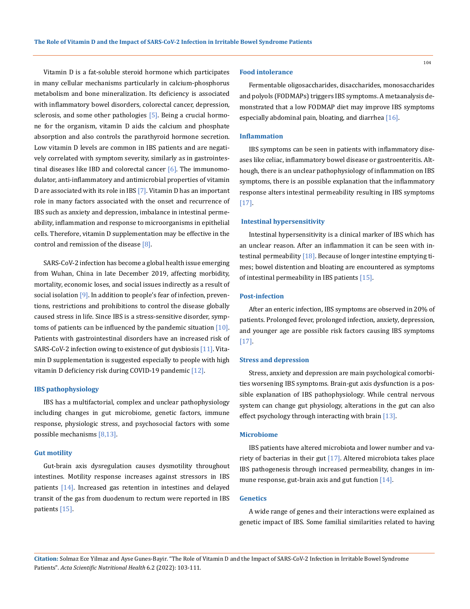Vitamin D is a fat-soluble steroid hormone which participates in many cellular mechanisms particularly in calcium-phosphorus metabolism and bone mineralization. Its deficiency is associated with inflammatory bowel disorders, colorectal cancer, depression, sclerosis, and some other pathologies  $[5]$ . Being a crucial hormone for the organism, vitamin D aids the calcium and phosphate absorption and also controls the parathyroid hormone secretion. Low vitamin D levels are common in IBS patients and are negatively correlated with symptom severity, similarly as in gastrointestinal diseases like IBD and colorectal cancer  $[6]$ . The immunomodulator, anti-inflammatory and antimicrobial properties of vitamin D are associated with its role in IBS [7]. Vitamin D has an important role in many factors associated with the onset and recurrence of IBS such as anxiety and depression, imbalance in intestinal permeability, inflammation and response to microorganisms in epithelial cells. Therefore, vitamin D supplementation may be effective in the control and remission of the disease  $[8]$ .

SARS-CoV-2 infection has become a global health issue emerging from Wuhan, China in late December 2019, affecting morbidity, mortality, economic loses, and social issues indirectly as a result of social isolation [9]. In addition to people's fear of infection, preventions, restrictions and prohibitions to control the disease globally caused stress in life. Since IBS is a stress-sensitive disorder, symptoms of patients can be influenced by the pandemic situation  $[10]$ . Patients with gastrointestinal disorders have an increased risk of SARS-CoV-2 infection owing to existence of gut dysbiosis [11]. Vitamin D supplementation is suggested especially to people with high vitamin D deficiency risk during COVID-19 pandemic [12].

#### **IBS pathophysiology**

IBS has a multifactorial, complex and unclear pathophysiology including changes in gut microbiome, genetic factors, immune response, physiologic stress, and psychosocial factors with some possible mechanisms [8,13].

#### **Gut motility**

Gut-brain axis dysregulation causes dysmotility throughout intestines. Motility response increases against stressors in IBS patients [14]. Increased gas retention in intestines and delayed transit of the gas from duodenum to rectum were reported in IBS patients [15].

#### **Food intolerance**

Fermentable oligosaccharides, disaccharides, monosaccharides and polyols (FODMAPs) triggers IBS symptoms. A metaanalysis demonstrated that a low FODMAP diet may improve IBS symptoms especially abdominal pain, bloating, and diarrhea [16].

#### **Inflammation**

IBS symptoms can be seen in patients with inflammatory diseases like celiac, inflammatory bowel disease or gastroenteritis. Although, there is an unclear pathophysiology of inflammation on IBS symptoms, there is an possible explanation that the inflammatory response alters intestinal permeability resulting in IBS symptoms [17].

#### **Intestinal hypersensitivity**

Intestinal hypersensitivity is a clinical marker of IBS which has an unclear reason. After an inflammation it can be seen with intestinal permeability [18]. Because of longer intestine emptying times; bowel distention and bloating are encountered as symptoms of intestinal permeability in IBS patients [15].

#### **Post-infection**

After an enteric infection, IBS symptoms are observed in 20% of patients. Prolonged fever, prolonged infection, anxiety, depression, and younger age are possible risk factors causing IBS symptoms [17].

#### **Stress and depression**

Stress, anxiety and depression are main psychological comorbities worsening IBS symptoms. Brain-gut axis dysfunction is a possible explanation of IBS pathophysiology. While central nervous system can change gut physiology, alterations in the gut can also effect psychology through interacting with brain [13].

#### **Microbiome**

IBS patients have altered microbiota and lower number and variety of bacterias in their gut [17]. Altered microbiota takes place IBS pathogenesis through increased permeability, changes in immune response, gut-brain axis and gut function [14].

## **Genetics**

A wide range of genes and their interactions were explained as genetic impact of IBS. Some familial similarities related to having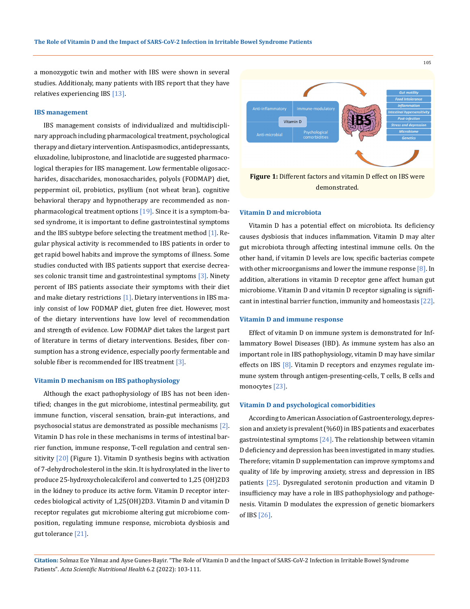a monozygotic twin and mother with IBS were shown in several studies. Additionaly, many patients with IBS report that they have relatives experiencing IBS [13].

#### **IBS management**

IBS management consists of individualized and multidisciplinary approach including pharmacological treatment, psychological therapy and dietary intervention. Antispasmodics, antidepressants, eluxadoline, lubiprostone, and linaclotide are suggested pharmacological therapies for IBS management. Low fermentable oligosaccharides, disaccharides, monosaccharides, polyols (FODMAP) diet, peppermint oil, probiotics, psyllium (not wheat bran), cognitive behavioral therapy and hypnotherapy are recommended as nonpharmacological treatment options [19]. Since it is a symptom-based syndrome, it is important to define gastrointestinal symptoms and the IBS subtype before selecting the treatment method [1]. Regular physical activity is recommended to IBS patients in order to get rapid bowel habits and improve the symptoms of illness. Some studies conducted with IBS patients support that exercise decreases colonic transit time and gastrointestinal symptoms [3]. Ninety percent of IBS patients associate their symptoms with their diet and make dietary restrictions [1]. Dietary interventions in IBS mainly consist of low FODMAP diet, gluten free diet. However, most of the dietary interventions have low level of recommendation and strength of evidence. Low FODMAP diet takes the largest part of literature in terms of dietary interventions. Besides, fiber consumption has a strong evidence, especially poorly fermentable and soluble fiber is recommended for IBS treatment [3].

### **Vitamin D mechanism on IBS pathophysiology**

Although the exact pathophysiology of IBS has not been identified; changes in the gut microbiome, intestinal permeability, gut immune function, visceral sensation, brain-gut interactions, and psychosocial status are demonstrated as possible mechanisms [2]. Vitamin D has role in these mechanisms in terms of intestinal barrier function, immune response, T-cell regulation and central sensitivity  $\lceil 20 \rceil$  (Figure 1). Vitamin D synthesis begins with activation of 7-dehydrocholesterol in the skin. It is hydroxylated in the liver to produce 25-hydroxycholecalciferol and converted to 1,25 (OH)2D3 in the kidney to produce its active form. Vitamin D receptor intercedes biological activity of 1,25(OH)2D3. Vitamin D and vitamin D receptor regulates gut microbiome altering gut microbiome composition, regulating immune response, microbiota dysbiosis and gut tolerance [21].



#### **Vitamin D and microbiota**

Vitamin D has a potential effect on microbiota. Its deficiency causes dysbiosis that induces inflammation. Vitamin D may alter gut microbiota through affecting intestinal immune cells. On the other hand, if vitamin D levels are low, specific bacterias compete with other microorganisms and lower the immune response  $[8]$ . In addition, alterations in vitamin D receptor gene affect human gut microbiome. Vitamin D and vitamin D receptor signaling is significant in intestinal barrier function, immunity and homeostasis [22].

#### **Vitamin D and immune response**

Effect of vitamin D on immune system is demonstrated for Inflammatory Bowel Diseases (IBD). As immune system has also an important role in IBS pathophysiology, vitamin D may have similar effects on IBS [8]. Vitamin D receptors and enzymes regulate immune system through antigen-presenting-cells, T cells, B cells and monocytes [23].

## **Vitamin D and psychological comorbidities**

According to American Association of Gastroenterology, depression and anxiety is prevalent (%60) in IBS patients and exacerbates gastrointestinal symptoms [24]. The relationship between vitamin D deficiency and depression has been investigated in many studies. Therefore; vitamin D supplementation can improve symptoms and quality of life by improving anxiety, stress and depression in IBS patients [25]. Dysregulated serotonin production and vitamin D insufficiency may have a role in IBS pathophysiology and pathogenesis. Vitamin D modulates the expression of genetic biomarkers of IBS [26].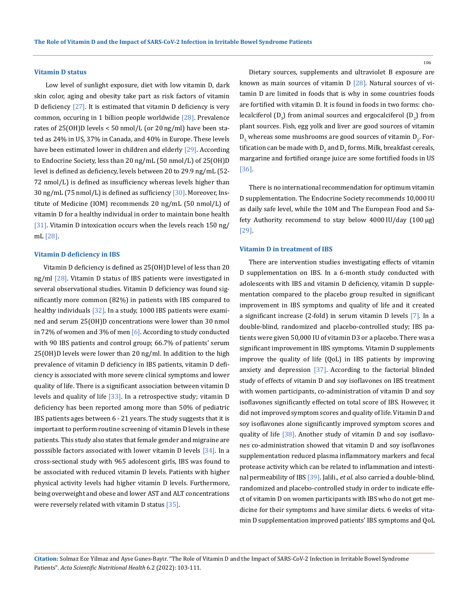#### **Vitamin D status**

 Low level of sunlight exposure, diet with low vitamin D, dark skin color, aging and obesity take part as risk factors of vitamin D deficiency  $[27]$ . It is estimated that vitamin D deficiency is very common, occuring in 1 billion people worldwide [28]. Prevalence rates of 25(OH)D levels < 50 nmol/L (or 20 ng/ml) have been stated as 24% in US, 37% in Canada, and 40% in Europe. These levels have been estimated lower in children and elderly [29]. According to Endocrine Society, less than 20 ng/mL (50 nmol/L) of 25(OH)D level is defined as deficiency, levels between 20 to 29.9 ng/mL (52- 72 nmol/L) is defined as insufficiency whereas levels higher than 30 ng/mL (75 nmol/L) is defined as sufficiency [30]. Moreover, Institute of Medicine (IOM) recommends 20 ng/mL (50 nmol/L) of vitamin D for a healthy individual in order to maintain bone health [31]. Vitamin D intoxication occurs when the levels reach 150 ng/ mL [28].

#### **Vitamin D deficiency in IBS**

Vitamin D deficiency is defined as 25(OH)D level of less than 20 ng/ml [28]. Vitamin D status of IBS patients were investigated in several observational studies. Vitamin D deficiency was found significantly more common (82%) in patients with IBS compared to healthy individuals [32]. In a study, 1000 IBS patients were examined and serum 25(OH)D concentrations were lower than 30 nmol in 72% of women and 3% of men  $[6]$ . According to study conducted with 90 IBS patients and control group; 66.7% of patients' serum 25(OH)D levels were lower than 20 ng/ml. In addition to the high prevalence of vitamin D deficiency in IBS patients, vitamin D deficiency is associated with more severe clinical symptoms and lower quality of life. There is a significant association between vitamin D levels and quality of life  $[33]$ . In a retrospective study; vitamin D deficiency has been reported among more than 50% of pediatric IBS patients ages between 6 - 21 years. The study suggests that it is important to perform routine screening of vitamin D levels in these patients. This study also states that female gender and migraine are posssible factors associated with lower vitamin D levels [34]. In a cross-sectional study with 965 adolescent girls, IBS was found to be associated with reduced vitamin D levels. Patients with higher physical activity levels had higher vitamin D levels. Furthermore, being overweight and obese and lower AST and ALT concentrations were reversely related with vitamin D status  $\left[35\right]$ .

Dietary sources, supplements and ultraviolet B exposure are known as main sources of vitamin  $D$  [28]. Natural sources of vitamin D are limited in foods that is why in some countries foods are fortified with vitamin D. It is found in foods in two forms: cholecalciferol (D<sub>3</sub>) from animal sources and ergocalciferol (D<sub>2</sub>) from plant sources. Fish, egg yolk and liver are good sources of vitamin  ${\mathsf D}_{\mathsf a_j}$ whereas some mushrooms are good sources of vitamin  ${\mathsf D}_{\mathsf 2}$ . Fortification can be made with  ${\mathsf D}_2$  and  ${\mathsf D}_3$  forms. Milk, breakfast cereals, margarine and fortified orange juice are some fortified foods in US [36].

There is no international recommendation for optimum vitamin D supplementation. The Endocrine Society recommends 10,000 IU as daily safe level, while the 10M and The European Food and Safety Authority recommend to stay below 4000 IU/day (100 µg) [29].

#### **Vitamin D in treatment of IBS**

There are intervention studies investigating effects of vitamin D supplementation on IBS. In a 6-month study conducted with adolescents with IBS and vitamin D deficiency, vitamin D supplementation compared to the placebo group resulted in significant improvement in IBS symptoms and quality of life and it created a significant increase (2-fold) in serum vitamin D levels [7]. In a double-blind, randomized and placebo-controlled study; IBS patients were given 50,000 IU of vitamin D3 or a placebo. There was a significant improvement in IBS symptoms. Vitamin D supplements improve the quality of life (QoL) in IBS patients by improving anxiety and depression [37]. According to the factorial blinded study of effects of vitamin D and soy isoflavones on IBS treatment with women participants, co-administration of vitamin D and soy isoflavones significantly effected on total score of IBS. However, it did not improved symptom scores and quality of life. Vitamin D and soy isoflavones alone significantly improved symptom scores and quality of life [38]. Another study of vitamin D and soy isoflavones co-administration showed that vitamin D and soy isoflavones supplementation reduced plasma inflammatory markers and fecal protease activity which can be related to inflammation and intestinal permeability of IBS [39]. Jalili., *et al*. also carried a double-blind, randomized and placebo-controlled study in order to indicate effect of vitamin D on women participants with IBS who do not get medicine for their symptoms and have similar diets. 6 weeks of vitamin D supplementation improved patients' IBS symptoms and QoL

**Citation:** Solmaz Ece Yilmaz and Ayse Gunes-Bayir*.* "The Role of Vitamin D and the Impact of SARS-CoV-2 Infection in Irritable Bowel Syndrome Patients". *Acta Scientific Nutritional Health* 6.2 (2022): 103-111.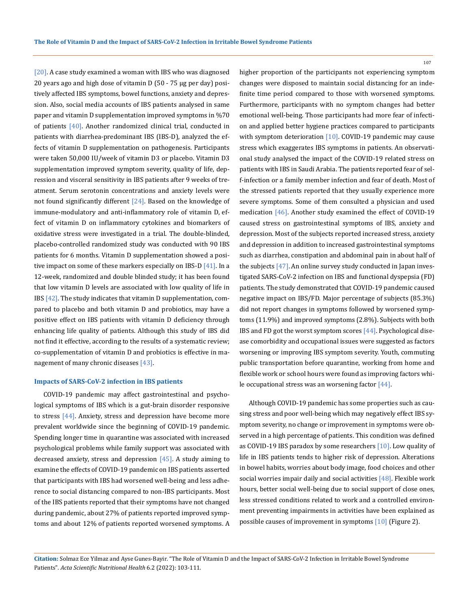[20]. A case study examined a woman with IBS who was diagnosed 20 years ago and high dose of vitamin D (50 - 75 μg per day) positively affected IBS symptoms, bowel functions, anxiety and depression. Also, social media accounts of IBS patients analysed in same paper and vitamin D supplementation improved symptoms in %70 of patients  $[40]$ . Another randomized clinical trial, conducted in patients with diarrhea-predominant IBS (IBS-D), analyzed the effects of vitamin D supplementation on pathogenesis. Participants were taken 50,000 IU/week of vitamin D3 or placebo. Vitamin D3 supplementation improved symptom severity, quality of life, depression and visceral sensitivity in IBS patients after 9 weeks of treatment. Serum serotonin concentrations and anxiety levels were not found significantly different  $[24]$ . Based on the knowledge of immune-modulatory and anti-inflammatory role of vitamin D, effect of vitamin D on inflammatory cytokines and biomarkers of oxidative stress were investigated in a trial. The double-blinded, placebo-controlled randomized study was conducted with 90 IBS patients for 6 months. Vitamin D supplementation showed a positive impact on some of these markers especially on IBS-D  $[41]$ . In a 12-week, randomized and double blinded study; it has been found that low vitamin D levels are associated with low quality of life in IBS  $[42]$ . The study indicates that vitamin D supplementation, compared to placebo and both vitamin D and probiotics, may have a positive effect on IBS patients with vitamin D deficiency through enhancing life quality of patients. Although this study of IBS did not find it effective, according to the results of a systematic review; co-supplementation of vitamin D and probiotics is effective in management of many chronic diseases  $[43]$ .

#### **Impacts of SARS-CoV-2 infection in IBS patients**

COVID-19 pandemic may affect gastrointestinal and psychological symptoms of IBS which is a gut-brain disorder responsive to stress [44]. Anxiety, stress and depression have become more prevalent worldwide since the beginning of COVID-19 pandemic. Spending longer time in quarantine was associated with increased psychological problems while family support was associated with decreased anxiety, stress and depression  $[45]$ . A study aiming to examine the effects of COVID-19 pandemic on IBS patients asserted that participants with IBS had worsened well-being and less adherence to social distancing compared to non-IBS participants. Most of the IBS patients reported that their symptoms have not changed during pandemic, about 27% of patients reported improved symptoms and about 12% of patients reported worsened symptoms. A higher proportion of the participants not experiencing symptom changes were disposed to maintain social distancing for an indefinite time period compared to those with worsened symptoms. Furthermore, participants with no symptom changes had better emotional well-being. Those participants had more fear of infection and applied better hygiene practices compared to participants with symptom deterioration  $[10]$ . COVID-19 pandemic may cause stress which exaggerates IBS symptoms in patients. An observational study analysed the impact of the COVID-19 related stress on patients with IBS in Saudi Arabia. The patients reported fear of self-infection or a family member infection and fear of death. Most of the stressed patients reported that they usually experience more severe symptoms. Some of them consulted a physician and used medication [46]. Another study examined the effect of COVID-19 caused stress on gastrointestinal symptoms of IBS, anxiety and depression. Most of the subjects reported increased stress, anxiety and depression in addition to increased gastrointestinal symptoms such as diarrhea, constipation and abdominal pain in about half of the subjects [47]. An online survey study conducted in Japan investigated SARS-CoV-2 infection on IBS and functional dyspepsia (FD) patients. The study demonstrated that COVID-19 pandemic caused negative impact on IBS/FD. Major percentage of subjects (85.3%) did not report changes in symptoms followed by worsened symptoms (11.9%) and improved symptoms (2.8%). Subjects with both IBS and FD got the worst symptom scores [44]. Psychological disease comorbidity and occupational issues were suggested as factors worsening or improving IBS symptom severity. Youth, commuting public transportation before quarantine, working from home and flexible work or school hours were found as improving factors while occupational stress was an worsening factor [44].

Although COVID-19 pandemic has some properties such as causing stress and poor well-being which may negatively effect IBS symptom severity, no change or improvement in symptoms were observed in a high percentage of patients. This condition was defined as COVID-19 IBS paradox by some researchers [10]. Low quality of life in IBS patients tends to higher risk of depression. Alterations in bowel habits, worries about body image, food choices and other social worries impair daily and social activities [48]. Flexible work hours, better social well-being due to social support of close ones, less stressed conditions related to work and a controlled environment preventing impairments in activities have been explained as possible causes of improvement in symptoms [10] (Figure 2).

**Citation:** Solmaz Ece Yilmaz and Ayse Gunes-Bayir*.* "The Role of Vitamin D and the Impact of SARS-CoV-2 Infection in Irritable Bowel Syndrome Patients". *Acta Scientific Nutritional Health* 6.2 (2022): 103-111.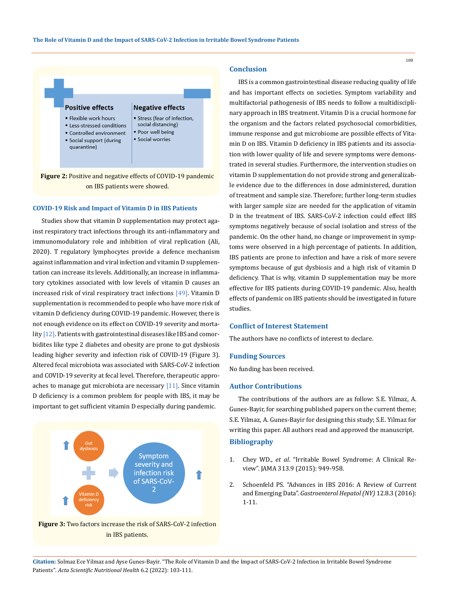

#### **COVID-19 Risk and Impact of Vitamin D in IBS Patients**

Studies show that vitamin D supplementation may protect against respiratory tract infections through its anti-inflammatory and immunomodulatory role and inhibition of viral replication (Ali, 2020). T regulatory lymphocytes provide a defence mechanism against inflammation and viral infection and vitamin D supplementation can increase its levels. Additionally, an increase in inflammatory cytokines associated with low levels of vitamin D causes an increased risk of viral respiratory tract infections [49]. Vitamin D supplementation is recommended to people who have more risk of vitamin D deficiency during COVID-19 pandemic. However, there is not enough evidence on its effect on COVID-19 severity and mortality [12]. Patients with gastrointestinal diseases like IBS and comorbidites like type 2 diabetes and obesity are prone to gut dysbiosis leading higher severity and infection risk of COVID-19 (Figure 3). Altered fecal microbiota was associated with SARS-CoV-2 infection and COVID-19 severity at fecal level. Therefore, therapeutic approaches to manage gut microbiota are necessary  $[11]$ . Since vitamin D deficiency is a common problem for people with IBS, it may be important to get sufficient vitamin D especially during pandemic.



# in IBS patients.

## **Conclusion**

IBS is a common gastrointestinal disease reducing quality of life and has important effects on societies. Symptom variability and multifactorial pathogenesis of IBS needs to follow a multidisciplinary approach in IBS treatment. Vitamin D is a crucial hormone for the organism and the factors related psychosocial comorbidities, immune response and gut microbiome are possible effects of Vitamin D on IBS. Vitamin D deficiency in IBS patients and its association with lower quality of life and severe symptoms were demonstrated in several studies. Furthermore, the intervention studies on vitamin D supplementation do not provide strong and generalizable evidence due to the differences in dose administered, duration of treatment and sample size. Therefore; further long-term studies with larger sample size are needed for the application of vitamin D in the treatment of IBS. SARS-CoV-2 infection could effect IBS symptoms negatively because of social isolation and stress of the pandemic. On the other hand, no change or improvement in symptoms were observed in a high percentage of patients. In addition, IBS patients are prone to infection and have a risk of more severe symptoms because of gut dysbiosis and a high risk of vitamin D deficiency. That is why, vitamin D supplementation may be more effective for IBS patients during COVID-19 pandemic. Also, health effects of pandemic on IBS patients should be investigated in future studies.

#### **Conflict of Interest Statement**

The authors have no conflicts of interest to declare.

#### **Funding Sources**

No funding has been received.

## **Author Contributions**

The contributions of the authors are as follow: S.E. Yilmaz, A. Gunes-Bayir, for searching published papers on the current theme; S.E. Yilmaz, A. Gunes-Bayir for designing this study; S.E. Yilmaz for writing this paper. All authors read and approved the manuscript. **Bibliography**

- 1. Chey WD., *et al*[. "Irritable Bowel Syndrome:](https://pubmed.ncbi.nlm.nih.gov/25734736/) A Clinical Review". JAMA [313.9 \(2015\): 949-958.](https://pubmed.ncbi.nlm.nih.gov/25734736/)
- 2. [Schoenfeld PS. "Advances in IBS 2016: A Review of Current](https://pubmed.ncbi.nlm.nih.gov/28070176/)  [and Emerging Data".](https://pubmed.ncbi.nlm.nih.gov/28070176/) *Gastroenterol Hepatol (NY)* 12.8.3 (2016): [1-11.](https://pubmed.ncbi.nlm.nih.gov/28070176/)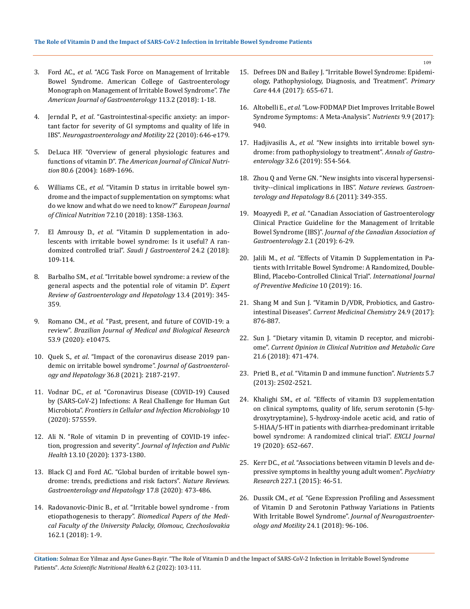- 3. Ford AC., *et al*[. "ACG Task Force on Management of Irritable](https://pubmed.ncbi.nlm.nih.gov/29950604/)  [Bowel Syndrome. American College of Gastroenterology](https://pubmed.ncbi.nlm.nih.gov/29950604/)  [Monograph on Management of Irritable Bowel Syndrome".](https://pubmed.ncbi.nlm.nih.gov/29950604/) *The American [Journal of Gastroenterology](https://pubmed.ncbi.nlm.nih.gov/29950604/)* 113.2 (2018): 1-18.
- 4. Jerndal P., *et al*[. "Gastrointestinal‐specific anxiety: an impor](https://bpsmedicine.biomedcentral.com/articles/10.1186/1751-0759-8-10)[tant factor for severity of GI symptoms and quality of life in](https://bpsmedicine.biomedcentral.com/articles/10.1186/1751-0759-8-10)  IBS". *[Neurogastroenterology and Motility](https://bpsmedicine.biomedcentral.com/articles/10.1186/1751-0759-8-10)* 22 (2010): 646-e179.
- 5. [DeLuca HF. "Overview of general physiologic features and](https://pubmed.ncbi.nlm.nih.gov/15585789/)  functions of vitamin D". *The American [Journal of Clinical Nutri](https://pubmed.ncbi.nlm.nih.gov/15585789/)tion* [80.6 \(2004\): 1689-1696.](https://pubmed.ncbi.nlm.nih.gov/15585789/)
- 6. Williams CE., *et al*[. "Vitamin D status in irritable bowel syn](https://pubmed.ncbi.nlm.nih.gov/29367731/)[drome and the impact of supplementation on symptoms: what](https://pubmed.ncbi.nlm.nih.gov/29367731/)  [do we know and what do we need to know?"](https://pubmed.ncbi.nlm.nih.gov/29367731/) *European Journal of Clinical Nutrition* [72.10 \(2018\): 1358-1363.](https://pubmed.ncbi.nlm.nih.gov/29367731/)
- 7. El Amrousy D., *et al*[. "Vitamin D supplementation in ado](https://pubmed.ncbi.nlm.nih.gov/29637918/)[lescents with irritable bowel syndrome: Is it useful? A ran](https://pubmed.ncbi.nlm.nih.gov/29637918/)domized controlled trial". *[Saudi J Gastroenterol](https://pubmed.ncbi.nlm.nih.gov/29637918/)* 24.2 (2018): [109-114.](https://pubmed.ncbi.nlm.nih.gov/29637918/)
- 8. Barbalho SM., *et al*[. "Irritable bowel syndrome: a review of the](https://pubmed.ncbi.nlm.nih.gov/30791775/)  [general aspects and the potential role of vitamin D".](https://pubmed.ncbi.nlm.nih.gov/30791775/) *Expert [Review of Gastroenterology and Hepatology](https://pubmed.ncbi.nlm.nih.gov/30791775/)* 13.4 (2019): 345- [359.](https://pubmed.ncbi.nlm.nih.gov/30791775/)
- 9. Romano CM., *et al*[. "Past, present, and future of COVID-19: a](https://pubmed.ncbi.nlm.nih.gov/32725080/)  review". *[Brazilian Journal of Medical](https://pubmed.ncbi.nlm.nih.gov/32725080/) and Biological Research* [53.9 \(2020\): e10475.](https://pubmed.ncbi.nlm.nih.gov/32725080/)
- 10. Quek S., *et al*[. "Impact of the coronavirus disease 2019 pan](https://pubmed.ncbi.nlm.nih.gov/33615534/)[demic on irritable bowel syndrome".](https://pubmed.ncbi.nlm.nih.gov/33615534/) *Journal of Gastroenterology and Hepatology* [36.8 \(2021\): 2187-2197.](https://pubmed.ncbi.nlm.nih.gov/33615534/)
- 11. Vodnar DC., *et al*[. "Coronavirus Disease \(COVID-19\) Caused](https://pubmed.ncbi.nlm.nih.gov/33363049/)  [by \(SARS-CoV-2\) Infections: A Real Challenge for Human Gut](https://pubmed.ncbi.nlm.nih.gov/33363049/)  Microbiota". *[Frontiers in Cellular and Infection Microbiology](https://pubmed.ncbi.nlm.nih.gov/33363049/)* 10 [\(2020\): 575559.](https://pubmed.ncbi.nlm.nih.gov/33363049/)
- 12. [Ali N. "Role of vitamin D in preventing of COVID-19 infec](https://pubmed.ncbi.nlm.nih.gov/32605780/)[tion, progression and severity".](https://pubmed.ncbi.nlm.nih.gov/32605780/) *Journal of Infection and Public Health* [13.10 \(2020\): 1373-1380.](https://pubmed.ncbi.nlm.nih.gov/32605780/)
- 13. [Black CJ and Ford AC. "Global burden of irritable bowel syn](https://pubmed.ncbi.nlm.nih.gov/32296140/)[drome: trends, predictions and risk factors".](https://pubmed.ncbi.nlm.nih.gov/32296140/) *Nature Reviews. [Gastroenterology and Hepatology](https://pubmed.ncbi.nlm.nih.gov/32296140/)* 17.8 (2020): 473-486.
- 14. Radovanovic-Dinic B., *et al*[. "Irritable bowel syndrome from](https://pubmed.ncbi.nlm.nih.gov/29358788/)  etiopathogenesis to therapy". *[Biomedical Papers of the Medi](https://pubmed.ncbi.nlm.nih.gov/29358788/)[cal Faculty of the University Palacky, Olomouc, Czechoslovakia](https://pubmed.ncbi.nlm.nih.gov/29358788/)* [162.1 \(2018\): 1-9.](https://pubmed.ncbi.nlm.nih.gov/29358788/)
- 15. [Defrees DN and Bailey J. "Irritable Bowel Syndrome: Epidemi](https://pubmed.ncbi.nlm.nih.gov/29132527/)[ology, Pathophysiology, Diagnosis, and Treatment".](https://pubmed.ncbi.nlm.nih.gov/29132527/) *Primary Care* [44.4 \(2017\): 655-671.](https://pubmed.ncbi.nlm.nih.gov/29132527/)
- 16. Altobelli E., *et al*[. "Low-FODMAP Diet Improves Irritable Bowel](https://www.ncbi.nlm.nih.gov/pmc/articles/PMC5622700/)  [Syndrome Symptoms: A Meta-Analysis".](https://www.ncbi.nlm.nih.gov/pmc/articles/PMC5622700/) *Nutrients* 9.9 (2017): [940.](https://www.ncbi.nlm.nih.gov/pmc/articles/PMC5622700/)
- 17. Hadjivasilis A., *et al*[. "New insights into irritable bowel syn](https://pubmed.ncbi.nlm.nih.gov/31700231/)[drome: from pathophysiology to treatment".](https://pubmed.ncbi.nlm.nih.gov/31700231/) *Annals of Gastroenterology* [32.6 \(2019\): 554-564.](https://pubmed.ncbi.nlm.nih.gov/31700231/)
- 18. [Zhou Q and Verne GN. "New insights into visceral hypersensi](https://pubmed.ncbi.nlm.nih.gov/21643039/)[tivity--clinical implications in IBS".](https://pubmed.ncbi.nlm.nih.gov/21643039/) *Nature reviews. Gastroen[terology and Hepatology](https://pubmed.ncbi.nlm.nih.gov/21643039/)* 8.6 (2011): 349-355.
- 19. Moayyedi P., *et al*[. "Canadian Association of Gastroenterology](https://pubmed.ncbi.nlm.nih.gov/31294724/)  [Clinical Practice Guideline for the Management of Irritable](https://pubmed.ncbi.nlm.nih.gov/31294724/)  Bowel Syndrome (IBS)". *[Journal of the Canadian Association of](https://pubmed.ncbi.nlm.nih.gov/31294724/)  [Gastroenterology](https://pubmed.ncbi.nlm.nih.gov/31294724/)* 2.1 (2019): 6-29.
- 20. Jalili M., *et al*[. "Effects of Vitamin D Supplementation in Pa](https://pubmed.ncbi.nlm.nih.gov/30820303/)[tients with Irritable Bowel Syndrome: A Randomized, Double-](https://pubmed.ncbi.nlm.nih.gov/30820303/)[Blind, Placebo-Controlled Clinical Trial".](https://pubmed.ncbi.nlm.nih.gov/30820303/) *International Journal [of Preventive Medicine](https://pubmed.ncbi.nlm.nih.gov/30820303/)* 10 (2019): 16.
- 21. [Shang M and Sun J. "Vitamin D/VDR, Probiotics, and Gastro](https://pubmed.ncbi.nlm.nih.gov/27915988/)intestinal Diseases". *[Current Medicinal Chemistry](https://pubmed.ncbi.nlm.nih.gov/27915988/)* 24.9 (2017): [876-887.](https://pubmed.ncbi.nlm.nih.gov/27915988/)
- 22. [Sun J. "Dietary vitamin D, vitamin D receptor, and microbi](https://pubmed.ncbi.nlm.nih.gov/30169457/)ome". *Current Opinion in Clinical [Nutrition and Metabolic Care](https://pubmed.ncbi.nlm.nih.gov/30169457/)* [21.6 \(2018\): 471-474.](https://pubmed.ncbi.nlm.nih.gov/30169457/)
- 23. Prietl B., *et al*[. "Vitamin D and immune function".](https://www.ncbi.nlm.nih.gov/pmc/articles/PMC3738984/) *Nutrients* 5.7 [\(2013\): 2502-2521.](https://www.ncbi.nlm.nih.gov/pmc/articles/PMC3738984/)
- 24. Khalighi SM., *et al*[. "Effects of vitamin D3 supplementation](https://pubmed.ncbi.nlm.nih.gov/33013260/)  [on clinical symptoms, quality of life, serum serotonin \(5-hy](https://pubmed.ncbi.nlm.nih.gov/33013260/)[droxytryptamine\), 5-hydroxy-indole acetic acid, and ratio of](https://pubmed.ncbi.nlm.nih.gov/33013260/)  [5-HIAA/5-HT in patients with diarrhea-predominant irritable](https://pubmed.ncbi.nlm.nih.gov/33013260/)  [bowel syndrome: A randomized clinical trial".](https://pubmed.ncbi.nlm.nih.gov/33013260/) *EXCLI Journal* [19 \(2020\): 652-667.](https://pubmed.ncbi.nlm.nih.gov/33013260/)
- 25. Kerr DC., *et al*[. "Associations between vitamin D levels and de](https://pubmed.ncbi.nlm.nih.gov/25791903/)[pressive symptoms in healthy young adult women".](https://pubmed.ncbi.nlm.nih.gov/25791903/) *Psychiatry Research* [227.1 \(2015\): 46-51.](https://pubmed.ncbi.nlm.nih.gov/25791903/)
- 26. Dussik CM., *et al*[. "Gene Expression Profiling and Assessment](https://pubmed.ncbi.nlm.nih.gov/29291611/)  [of Vitamin D and Serotonin Pathway Variations in Patients](https://pubmed.ncbi.nlm.nih.gov/29291611/)  With Irritable Bowel Syndrome". *[Journal of Neurogastroenter](https://pubmed.ncbi.nlm.nih.gov/29291611/)ology and Motility* [24.1 \(2018\): 96-106.](https://pubmed.ncbi.nlm.nih.gov/29291611/)

**Citation:** Solmaz Ece Yilmaz and Ayse Gunes-Bayir*.* "The Role of Vitamin D and the Impact of SARS-CoV-2 Infection in Irritable Bowel Syndrome Patients". *Acta Scientific Nutritional Health* 6.2 (2022): 103-111.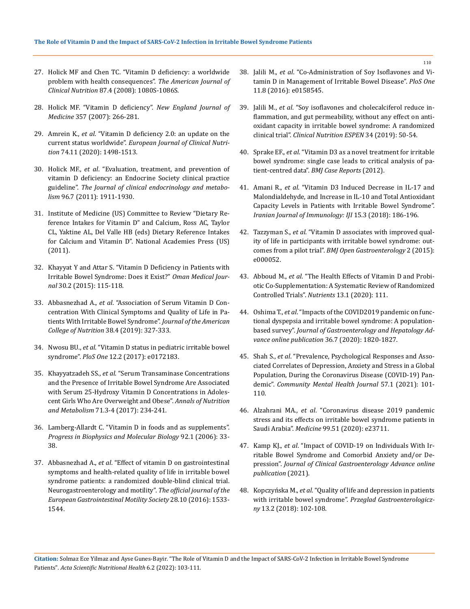- 27. [Holick MF and Chen TC. "Vitamin D deficiency: a worldwide](https://pubmed.ncbi.nlm.nih.gov/18400738/)  [problem with health consequences".](https://pubmed.ncbi.nlm.nih.gov/18400738/) *The American Journal of Clinical Nutrition* [87.4 \(2008\): 1080S-1086S.](https://pubmed.ncbi.nlm.nih.gov/18400738/)
- 28. [Holick MF. "Vitamin D deficiency".](https://pubmed.ncbi.nlm.nih.gov/17634462/) *New England Journal of Medicine* [357 \(2007\): 266-281.](https://pubmed.ncbi.nlm.nih.gov/17634462/)
- 29. Amrein K., *et al*[. "Vitamin D deficiency 2.0: an update on the](https://pubmed.ncbi.nlm.nih.gov/31959942/)  current status worldwide". *European [Journal of Clinical Nutri](https://pubmed.ncbi.nlm.nih.gov/31959942/)tion* [74.11 \(2020\): 1498-1513.](https://pubmed.ncbi.nlm.nih.gov/31959942/)
- 30. Holick MF., *et al*[. "Evaluation, treatment, and prevention of](https://pubmed.ncbi.nlm.nih.gov/21646368/)  [vitamin D deficiency: an Endocrine Society clinical practice](https://pubmed.ncbi.nlm.nih.gov/21646368/)  guideline". *[The Journal of clinical endocrinology and metabo](https://pubmed.ncbi.nlm.nih.gov/21646368/)lism* [96.7 \(2011\): 1911-1930.](https://pubmed.ncbi.nlm.nih.gov/21646368/)
- 31. [Institute of Medicine \(US\) Committee to Review "Dietary Re](https://www.ncbi.nlm.nih.gov/books/NBK56070/)[ference Intakes for Vitamin D" and Calcium, Ross AC, Taylor](https://www.ncbi.nlm.nih.gov/books/NBK56070/)  [CL, Yaktine AL, Del Valle HB \(eds\) Dietary Reference Intakes](https://www.ncbi.nlm.nih.gov/books/NBK56070/)  [for Calcium and Vitamin D". National Academies Press \(US\)](https://www.ncbi.nlm.nih.gov/books/NBK56070/)  [\(2011\).](https://www.ncbi.nlm.nih.gov/books/NBK56070/)
- 32. [Khayyat Y and Attar S. "Vitamin D Deficiency in Patients with](https://pubmed.ncbi.nlm.nih.gov/25960837/)  [Irritable Bowel Syndrome: Does it Exist?"](https://pubmed.ncbi.nlm.nih.gov/25960837/) *Oman Medical Journal* [30.2 \(2015\): 115-118.](https://pubmed.ncbi.nlm.nih.gov/25960837/)
- 33. Abbasnezhad A., *et al*[. "Association of Serum Vitamin D Con](https://pubmed.ncbi.nlm.nih.gov/30252633/)[centration With Clinical Symptoms and Quality of Life in Pa](https://pubmed.ncbi.nlm.nih.gov/30252633/)[tients With Irritable Bowel Syndrome".](https://pubmed.ncbi.nlm.nih.gov/30252633/) *Journal of the American College of Nutrition* [38.4 \(2019\): 327-333.](https://pubmed.ncbi.nlm.nih.gov/30252633/)
- 34. Nwosu BU., *et al*[. "Vitamin D status in pediatric irritable bowel](https://journals.plos.org/plosone/article?id=10.1371/journal.pone.0172183)  syndrome". *PloS One* [12.2 \(2017\): e0172183.](https://journals.plos.org/plosone/article?id=10.1371/journal.pone.0172183)
- 35. Khayyatzadeh SS., *et al*[. "Serum Transaminase Concentrations](https://www.karger.com/Article/Abstract/484634)  [and the Presence of Irritable Bowel Syndrome Are Associated](https://www.karger.com/Article/Abstract/484634)  [with Serum 25-Hydroxy Vitamin D Concentrations in Adoles](https://www.karger.com/Article/Abstract/484634)[cent Girls Who Are Overweight and Obese".](https://www.karger.com/Article/Abstract/484634) *Annals of Nutrition and Metabolism* [71.3-4 \(2017\): 234-241.](https://www.karger.com/Article/Abstract/484634)
- 36. [Lamberg-Allardt C. "Vitamin D in foods and as supplements".](https://pubmed.ncbi.nlm.nih.gov/16618499/)  *[Progress in Biophysics and Molecular](https://pubmed.ncbi.nlm.nih.gov/16618499/) Biology* 92.1 (2006): 33- [38.](https://pubmed.ncbi.nlm.nih.gov/16618499/)
- 37. Abbasnezhad A., *et al*[. "Effect of vitamin D on gastrointestinal](https://pubmed.ncbi.nlm.nih.gov/27154424/)  [symptoms and health-related quality of life in irritable bowel](https://pubmed.ncbi.nlm.nih.gov/27154424/)  [syndrome patients: a randomized double-blind clinical trial.](https://pubmed.ncbi.nlm.nih.gov/27154424/)  [Neurogastroenterology and motility".](https://pubmed.ncbi.nlm.nih.gov/27154424/) *The official journal of the [European Gastrointestinal Motility](https://pubmed.ncbi.nlm.nih.gov/27154424/) Society* 28.10 (2016): 1533- [1544.](https://pubmed.ncbi.nlm.nih.gov/27154424/)
- 38. Jalili M., *et al*[. "Co-Administration of Soy Isoflavones and Vi](https://journals.plos.org/plosone/article?id=10.1371/journal.pone.0158545)[tamin D in Management of Irritable Bowel Disease".](https://journals.plos.org/plosone/article?id=10.1371/journal.pone.0158545) *PloS One* [11.8 \(2016\): e0158545.](https://journals.plos.org/plosone/article?id=10.1371/journal.pone.0158545)
- 39. Jalili M., *et al*[. "Soy isoflavones and cholecalciferol reduce in](https://pubmed.ncbi.nlm.nih.gov/31677711/)[flammation, and gut permeability, without any effect on anti](https://pubmed.ncbi.nlm.nih.gov/31677711/)[oxidant capacity in irritable bowel syndrome: A randomized](https://pubmed.ncbi.nlm.nih.gov/31677711/)  clinical trial". *[Clinical Nutrition ESPEN](https://pubmed.ncbi.nlm.nih.gov/31677711/)* 34 (2019): 50-54.
- 40. Sprake EF., *et al*[. "Vitamin D3 as a novel treatment for irritable](https://pubmed.ncbi.nlm.nih.gov/23239770/)  [bowel syndrome: single case leads to critical analysis of pa](https://pubmed.ncbi.nlm.nih.gov/23239770/)tient-centred data". *[BMJ Case Reports](https://pubmed.ncbi.nlm.nih.gov/23239770/)* (2012).
- 41. Amani R., *et al*[. "Vitamin D3 Induced Decrease in IL-17 and](https://pubmed.ncbi.nlm.nih.gov/30246694/)  [Malondialdehyde, and Increase in IL-10 and Total Antioxidant](https://pubmed.ncbi.nlm.nih.gov/30246694/)  [Capacity Levels in Patients with Irritable Bowel Syndrome".](https://pubmed.ncbi.nlm.nih.gov/30246694/)  *Iranian [Journal of Immunology: IJI](https://pubmed.ncbi.nlm.nih.gov/30246694/)* 15.3 (2018): 186-196.
- 42. Tazzyman S., *et al*[. "Vitamin D associates with improved qual](https://pubmed.ncbi.nlm.nih.gov/26719813/)[ity of life in participants with irritable bowel syndrome: out](https://pubmed.ncbi.nlm.nih.gov/26719813/)comes from a pilot trial". *[BMJ Open Gastroenterology](https://pubmed.ncbi.nlm.nih.gov/26719813/)* 2 (2015): [e000052.](https://pubmed.ncbi.nlm.nih.gov/26719813/)
- 43. Abboud M., *et al*[. "The Health Effects of Vitamin D and Probi](https://www.mdpi.com/2072-6643/13/1/111)[otic Co-Supplementation: A Systematic Review of Randomized](https://www.mdpi.com/2072-6643/13/1/111)  [Controlled Trials".](https://www.mdpi.com/2072-6643/13/1/111) *Nutrients* 13.1 (2020): 111.
- 44. Oshima T., *et al*[. "Impacts of the COVID2019 pandemic on func](https://pubmed.ncbi.nlm.nih.gov/33197076/)[tional dyspepsia and irritable bowel syndrome: A population](https://pubmed.ncbi.nlm.nih.gov/33197076/)based survey". *[Journal of Gastroenterology and Hepatology Ad](https://pubmed.ncbi.nlm.nih.gov/33197076/)vance online publication* [36.7 \(2020\): 1820-1827.](https://pubmed.ncbi.nlm.nih.gov/33197076/)
- 45. Shah S., *et al*[. "Prevalence, Psychological Responses and Asso](https://pubmed.ncbi.nlm.nih.gov/33108569/)[ciated Correlates of Depression, Anxiety and Stress in a Global](https://pubmed.ncbi.nlm.nih.gov/33108569/)  [Population, During the Coronavirus Disease \(COVID-19\) Pan](https://pubmed.ncbi.nlm.nih.gov/33108569/)demic". *[Community Mental Health Journal](https://pubmed.ncbi.nlm.nih.gov/33108569/)* 57.1 (2021): 101- [110.](https://pubmed.ncbi.nlm.nih.gov/33108569/)
- 46. Alzahrani MA., *et al*[. "Coronavirus disease 2019 pandemic](https://pubmed.ncbi.nlm.nih.gov/33371119/)  [stress and its effects on irritable bowel syndrome patients in](https://pubmed.ncbi.nlm.nih.gov/33371119/)  Saudi Arabia". *Medicine* [99.51 \(2020\): e23711.](https://pubmed.ncbi.nlm.nih.gov/33371119/)
- 47. Kamp KJ., *et al*[. "Impact of COVID-19 on Individuals With Ir](https://pubmed.ncbi.nlm.nih.gov/33780216/)[ritable Bowel Syndrome and Comorbid Anxiety and/or De](https://pubmed.ncbi.nlm.nih.gov/33780216/)pression". *[Journal of Clinical Gastroenterology Advance online](https://pubmed.ncbi.nlm.nih.gov/33780216/) [publication](https://pubmed.ncbi.nlm.nih.gov/33780216/)* (2021).
- 48. Kopczyńska M., *et al*[. "Quality of life and depression in patients](https://pubmed.ncbi.nlm.nih.gov/30002768/)  with irritable bowel syndrome". *[Przeglad Gastroenterologicz](https://pubmed.ncbi.nlm.nih.gov/30002768/)ny* [13.2 \(2018\): 102-108.](https://pubmed.ncbi.nlm.nih.gov/30002768/)

**Citation:** Solmaz Ece Yilmaz and Ayse Gunes-Bayir*.* "The Role of Vitamin D and the Impact of SARS-CoV-2 Infection in Irritable Bowel Syndrome Patients". *Acta Scientific Nutritional Health* 6.2 (2022): 103-111.